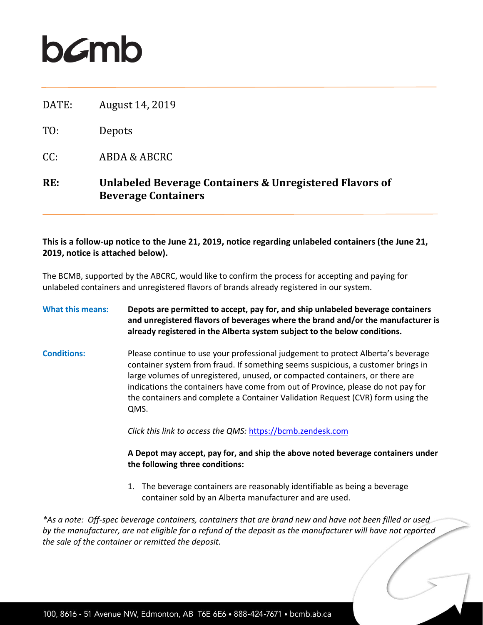## **b***c*mb

| RE:   | Unlabeled Beverage Containers & Unregistered Flavors of<br><b>Beverage Containers</b> |
|-------|---------------------------------------------------------------------------------------|
| CC:   | ABDA & ABCRC                                                                          |
| TO:   | Depots                                                                                |
| DATE: | August 14, 2019                                                                       |

## **This is a follow-up notice to the June 21, 2019, notice regarding unlabeled containers (the June 21, 2019, notice is attached below).**

The BCMB, supported by the ABCRC, would like to confirm the process for accepting and paying for unlabeled containers and unregistered flavors of brands already registered in our system.

**What this means: Depots are permitted to accept, pay for, and ship unlabeled beverage containers and unregistered flavors of beverages where the brand and/or the manufacturer is already registered in the Alberta system subject to the below conditions.**

**Conditions:** Please continue to use your professional judgement to protect Alberta's beverage container system from fraud. If something seems suspicious, a customer brings in large volumes of unregistered, unused, or compacted containers, or there are indications the containers have come from out of Province, please do not pay for the containers and complete a Container Validation Request (CVR) form using the QMS.

*Click this link to access the QMS:* [https://bcmb.zendesk.com](https://bcmb.zendesk.com/)

**A Depot may accept, pay for, and ship the above noted beverage containers under the following three conditions:**

1. The beverage containers are reasonably identifiable as being a beverage container sold by an Alberta manufacturer and are used.

*\*As a note: Off-spec beverage containers, containers that are brand new and have not been filled or used by the manufacturer, are not eligible for a refund of the deposit as the manufacturer will have not reported the sale of the container or remitted the deposit.*